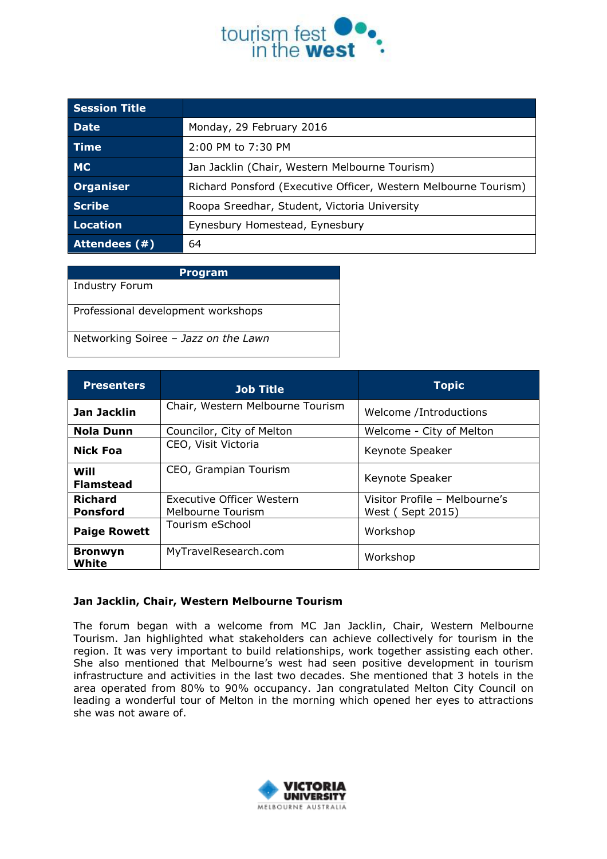

| <b>Session Title</b> |                                                                 |  |
|----------------------|-----------------------------------------------------------------|--|
| <b>Date</b>          | Monday, 29 February 2016                                        |  |
| Time                 | 2:00 PM to 7:30 PM                                              |  |
| <b>MC</b>            | Jan Jacklin (Chair, Western Melbourne Tourism)                  |  |
| Organiser            | Richard Ponsford (Executive Officer, Western Melbourne Tourism) |  |
| <b>Scribe</b>        | Roopa Sreedhar, Student, Victoria University                    |  |
| Location             | Eynesbury Homestead, Eynesbury                                  |  |
| Attendees (#)        | 64                                                              |  |

| <b>Program</b>                       |  |  |
|--------------------------------------|--|--|
| <b>Industry Forum</b>                |  |  |
| Professional development workshops   |  |  |
| Networking Soiree - Jazz on the Lawn |  |  |

| <b>Presenters</b>                 | <b>Job Title</b>                                      | <b>Topic</b>                                       |
|-----------------------------------|-------------------------------------------------------|----------------------------------------------------|
| Jan Jacklin                       | Chair, Western Melbourne Tourism                      | Welcome /Introductions                             |
| <b>Nola Dunn</b>                  | Councilor, City of Melton                             | Welcome - City of Melton                           |
| <b>Nick Foa</b>                   | CEO, Visit Victoria                                   | Keynote Speaker                                    |
| Will<br><b>Flamstead</b>          | CEO, Grampian Tourism                                 | Keynote Speaker                                    |
| <b>Richard</b><br><b>Ponsford</b> | <b>Executive Officer Western</b><br>Melbourne Tourism | Visitor Profile - Melbourne's<br>West ( Sept 2015) |
| <b>Paige Rowett</b>               | Tourism eSchool                                       | Workshop                                           |
| <b>Bronwyn</b><br>White           | MyTravelResearch.com                                  | Workshop                                           |

### **Jan Jacklin, Chair, Western Melbourne Tourism**

The forum began with a welcome from MC Jan Jacklin, Chair, Western Melbourne Tourism. Jan highlighted what stakeholders can achieve collectively for tourism in the region. It was very important to build relationships, work together assisting each other. She also mentioned that Melbourne's west had seen positive development in tourism infrastructure and activities in the last two decades. She mentioned that 3 hotels in the area operated from 80% to 90% occupancy. Jan congratulated Melton City Council on leading a wonderful tour of Melton in the morning which opened her eyes to attractions she was not aware of.

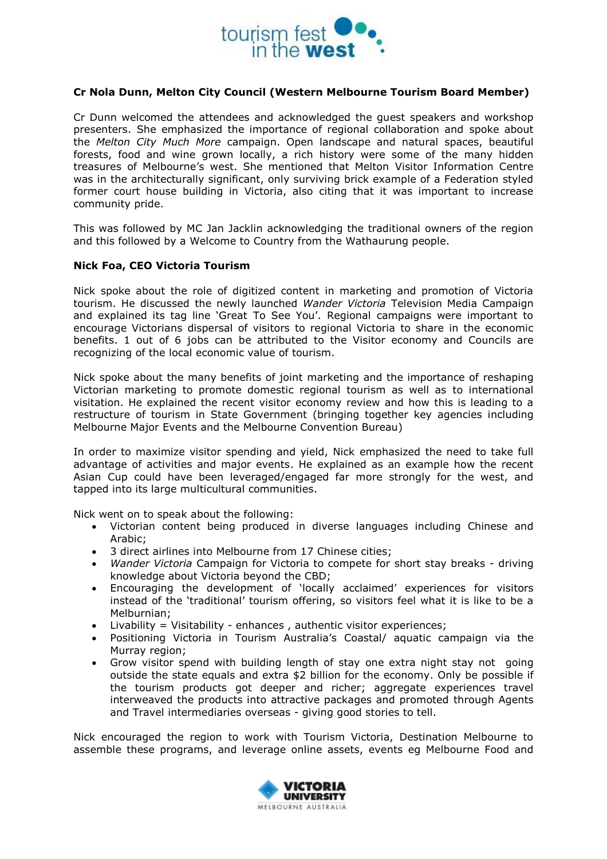

## **Cr Nola Dunn, Melton City Council (Western Melbourne Tourism Board Member)**

Cr Dunn welcomed the attendees and acknowledged the guest speakers and workshop presenters. She emphasized the importance of regional collaboration and spoke about the *Melton City Much More* campaign. Open landscape and natural spaces, beautiful forests, food and wine grown locally, a rich history were some of the many hidden treasures of Melbourne's west. She mentioned that Melton Visitor Information Centre was in the architecturally significant, only surviving brick example of a Federation styled former court house building in Victoria, also citing that it was important to increase community pride.

This was followed by MC Jan Jacklin acknowledging the traditional owners of the region and this followed by a Welcome to Country from the Wathaurung people.

# **Nick Foa, CEO Victoria Tourism**

Nick spoke about the role of digitized content in marketing and promotion of Victoria tourism. He discussed the newly launched *Wander Victoria* Television Media Campaign and explained its tag line 'Great To See You'. Regional campaigns were important to encourage Victorians dispersal of visitors to regional Victoria to share in the economic benefits. 1 out of 6 jobs can be attributed to the Visitor economy and Councils are recognizing of the local economic value of tourism.

Nick spoke about the many benefits of joint marketing and the importance of reshaping Victorian marketing to promote domestic regional tourism as well as to international visitation. He explained the recent visitor economy review and how this is leading to a restructure of tourism in State Government (bringing together key agencies including Melbourne Major Events and the Melbourne Convention Bureau)

In order to maximize visitor spending and yield, Nick emphasized the need to take full advantage of activities and major events. He explained as an example how the recent Asian Cup could have been leveraged/engaged far more strongly for the west, and tapped into its large multicultural communities.

Nick went on to speak about the following:

- Victorian content being produced in diverse languages including Chinese and Arabic;
- 3 direct airlines into Melbourne from 17 Chinese cities;
- *Wander Victoria* Campaign for Victoria to compete for short stay breaks driving knowledge about Victoria beyond the CBD;
- Encouraging the development of 'locally acclaimed' experiences for visitors instead of the 'traditional' tourism offering, so visitors feel what it is like to be a Melburnian;
- Livability = Visitability enhances , authentic visitor experiences;
- Positioning Victoria in Tourism Australia's Coastal/ aquatic campaign via the Murray region;
- Grow visitor spend with building length of stay one extra night stay not going outside the state equals and extra \$2 billion for the economy. Only be possible if the tourism products got deeper and richer; aggregate experiences travel interweaved the products into attractive packages and promoted through Agents and Travel intermediaries overseas - giving good stories to tell.

Nick encouraged the region to work with Tourism Victoria, Destination Melbourne to assemble these programs, and leverage online assets, events eg Melbourne Food and

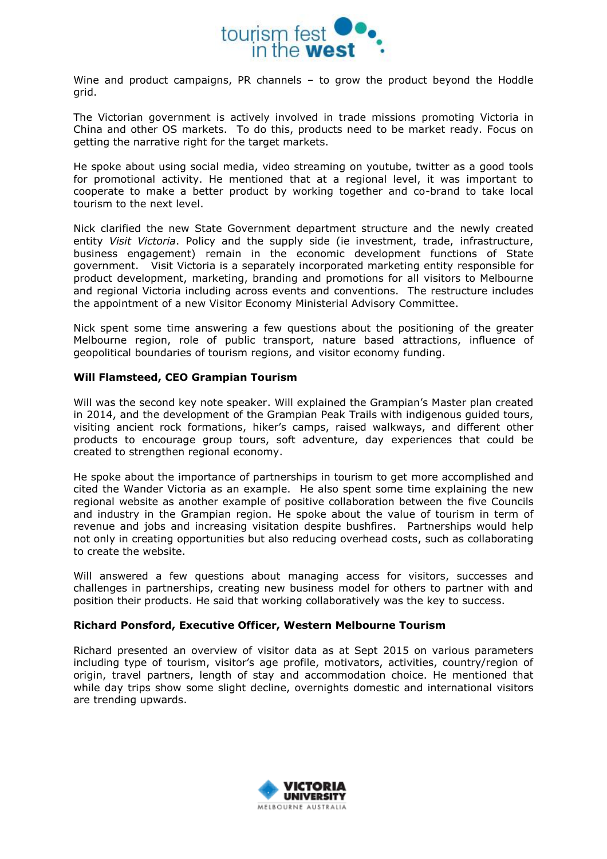

Wine and product campaigns, PR channels – to grow the product beyond the Hoddle grid.

The Victorian government is actively involved in trade missions promoting Victoria in China and other OS markets. To do this, products need to be market ready. Focus on getting the narrative right for the target markets.

He spoke about using social media, video streaming on youtube, twitter as a good tools for promotional activity. He mentioned that at a regional level, it was important to cooperate to make a better product by working together and co-brand to take local tourism to the next level.

Nick clarified the new State Government department structure and the newly created entity *Visit Victoria*. Policy and the supply side (ie investment, trade, infrastructure, business engagement) remain in the economic development functions of State government. Visit Victoria is a separately incorporated marketing entity responsible for product development, marketing, branding and promotions for all visitors to Melbourne and regional Victoria including across events and conventions. The restructure includes the appointment of a new Visitor Economy Ministerial Advisory Committee.

Nick spent some time answering a few questions about the positioning of the greater Melbourne region, role of public transport, nature based attractions, influence of geopolitical boundaries of tourism regions, and visitor economy funding.

# **Will Flamsteed, CEO Grampian Tourism**

Will was the second key note speaker. Will explained the Grampian's Master plan created in 2014, and the development of the Grampian Peak Trails with indigenous guided tours, visiting ancient rock formations, hiker's camps, raised walkways, and different other products to encourage group tours, soft adventure, day experiences that could be created to strengthen regional economy.

He spoke about the importance of partnerships in tourism to get more accomplished and cited the Wander Victoria as an example. He also spent some time explaining the new regional website as another example of positive collaboration between the five Councils and industry in the Grampian region. He spoke about the value of tourism in term of revenue and jobs and increasing visitation despite bushfires. Partnerships would help not only in creating opportunities but also reducing overhead costs, such as collaborating to create the website.

Will answered a few questions about managing access for visitors, successes and challenges in partnerships, creating new business model for others to partner with and position their products. He said that working collaboratively was the key to success.

### **Richard Ponsford, Executive Officer, Western Melbourne Tourism**

Richard presented an overview of visitor data as at Sept 2015 on various parameters including type of tourism, visitor's age profile, motivators, activities, country/region of origin, travel partners, length of stay and accommodation choice. He mentioned that while day trips show some slight decline, overnights domestic and international visitors are trending upwards.

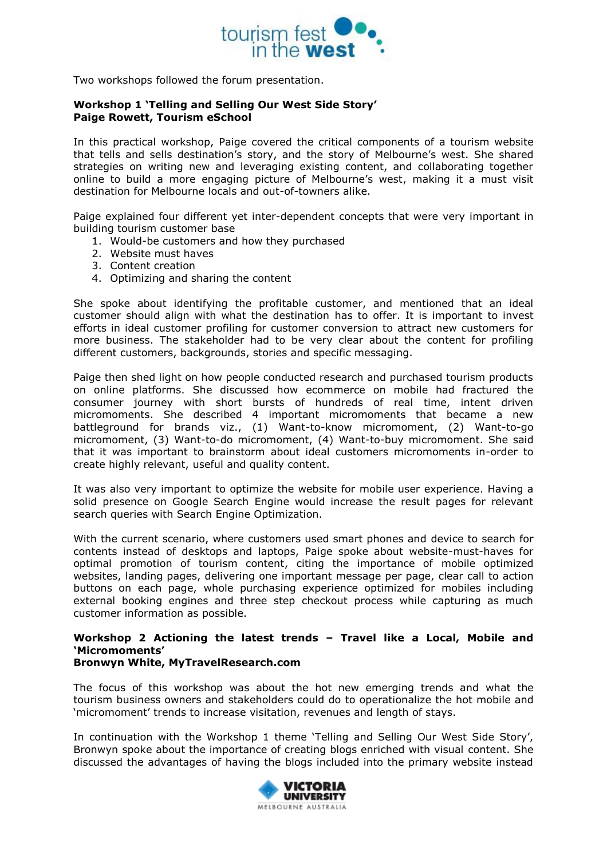

Two workshops followed the forum presentation.

### **Workshop 1 'Telling and Selling Our West Side Story' Paige Rowett, Tourism eSchool**

In this practical workshop, Paige covered the critical components of a tourism website that tells and sells destination's story, and the story of Melbourne's west. She shared strategies on writing new and leveraging existing content, and collaborating together online to build a more engaging picture of Melbourne's west, making it a must visit destination for Melbourne locals and out-of-towners alike.

Paige explained four different yet inter-dependent concepts that were very important in building tourism customer base

- 1. Would-be customers and how they purchased
- 2. Website must haves
- 3. Content creation
- 4. Optimizing and sharing the content

She spoke about identifying the profitable customer, and mentioned that an ideal customer should align with what the destination has to offer. It is important to invest efforts in ideal customer profiling for customer conversion to attract new customers for more business. The stakeholder had to be very clear about the content for profiling different customers, backgrounds, stories and specific messaging.

Paige then shed light on how people conducted research and purchased tourism products on online platforms. She discussed how ecommerce on mobile had fractured the consumer journey with short bursts of hundreds of real time, intent driven micromoments. She described 4 important micromoments that became a new battleground for brands viz., (1) Want-to-know micromoment, (2) Want-to-go micromoment, (3) Want-to-do micromoment, (4) Want-to-buy micromoment. She said that it was important to brainstorm about ideal customers micromoments in-order to create highly relevant, useful and quality content.

It was also very important to optimize the website for mobile user experience. Having a solid presence on Google Search Engine would increase the result pages for relevant search queries with Search Engine Optimization.

With the current scenario, where customers used smart phones and device to search for contents instead of desktops and laptops, Paige spoke about website-must-haves for optimal promotion of tourism content, citing the importance of mobile optimized websites, landing pages, delivering one important message per page, clear call to action buttons on each page, whole purchasing experience optimized for mobiles including external booking engines and three step checkout process while capturing as much customer information as possible.

#### **Workshop 2 Actioning the latest trends – Travel like a Local, Mobile and 'Micromoments' Bronwyn White, MyTravelResearch.com**

# The focus of this workshop was about the hot new emerging trends and what the tourism business owners and stakeholders could do to operationalize the hot mobile and 'micromoment' trends to increase visitation, revenues and length of stays.

In continuation with the Workshop 1 theme 'Telling and Selling Our West Side Story', Bronwyn spoke about the importance of creating blogs enriched with visual content. She discussed the advantages of having the blogs included into the primary website instead